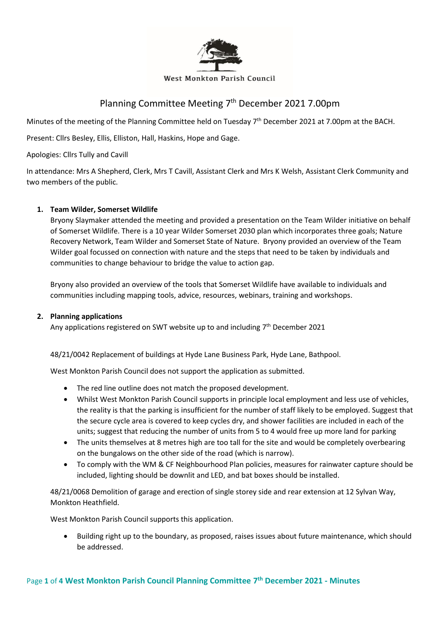

#### **West Monkton Parish Council**

# Planning Committee Meeting 7<sup>th</sup> December 2021 7.00pm

Minutes of the meeting of the Planning Committee held on Tuesday 7<sup>th</sup> December 2021 at 7.00pm at the BACH.

Present: Cllrs Besley, Ellis, Elliston, Hall, Haskins, Hope and Gage.

Apologies: Cllrs Tully and Cavill

In attendance: Mrs A Shepherd, Clerk, Mrs T Cavill, Assistant Clerk and Mrs K Welsh, Assistant Clerk Community and two members of the public.

## **1. Team Wilder, Somerset Wildlife**

Bryony Slaymaker attended the meeting and provided a presentation on the Team Wilder initiative on behalf of Somerset Wildlife. There is a 10 year Wilder Somerset 2030 plan which incorporates three goals; Nature Recovery Network, Team Wilder and Somerset State of Nature. Bryony provided an overview of the Team Wilder goal focussed on connection with nature and the steps that need to be taken by individuals and communities to change behaviour to bridge the value to action gap.

Bryony also provided an overview of the tools that Somerset Wildlife have available to individuals and communities including mapping tools, advice, resources, webinars, training and workshops.

## **2. Planning applications**

Any applications registered on SWT website up to and including  $7<sup>th</sup>$  December 2021

48/21/0042 Replacement of buildings at Hyde Lane Business Park, Hyde Lane, Bathpool.

West Monkton Parish Council does not support the application as submitted.

- The red line outline does not match the proposed development.
- Whilst West Monkton Parish Council supports in principle local employment and less use of vehicles, the reality is that the parking is insufficient for the number of staff likely to be employed. Suggest that the secure cycle area is covered to keep cycles dry, and shower facilities are included in each of the units; suggest that reducing the number of units from 5 to 4 would free up more land for parking
- The units themselves at 8 metres high are too tall for the site and would be completely overbearing on the bungalows on the other side of the road (which is narrow).
- To comply with the WM & CF Neighbourhood Plan policies, measures for rainwater capture should be included, lighting should be downlit and LED, and bat boxes should be installed.

48/21/0068 Demolition of garage and erection of single storey side and rear extension at 12 Sylvan Way, Monkton Heathfield.

West Monkton Parish Council supports this application.

• Building right up to the boundary, as proposed, raises issues about future maintenance, which should be addressed.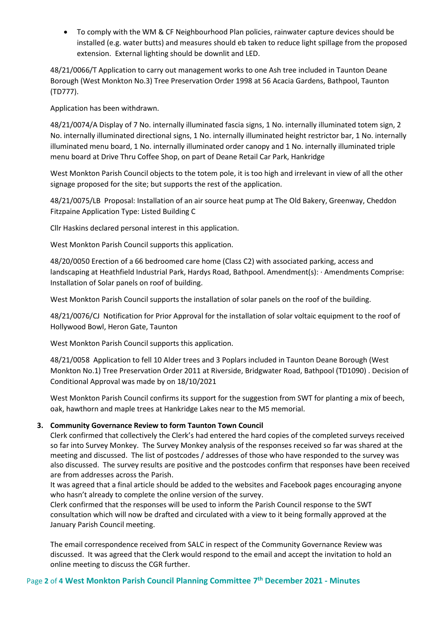• To comply with the WM & CF Neighbourhood Plan policies, rainwater capture devices should be installed (e.g. water butts) and measures should eb taken to reduce light spillage from the proposed extension. External lighting should be downlit and LED.

48/21/0066/T Application to carry out management works to one Ash tree included in Taunton Deane Borough (West Monkton No.3) Tree Preservation Order 1998 at 56 Acacia Gardens, Bathpool, Taunton (TD777).

Application has been withdrawn.

48/21/0074/A Display of 7 No. internally illuminated fascia signs, 1 No. internally illuminated totem sign, 2 No. internally illuminated directional signs, 1 No. internally illuminated height restrictor bar, 1 No. internally illuminated menu board, 1 No. internally illuminated order canopy and 1 No. internally illuminated triple menu board at Drive Thru Coffee Shop, on part of Deane Retail Car Park, Hankridge

West Monkton Parish Council objects to the totem pole, it is too high and irrelevant in view of all the other signage proposed for the site; but supports the rest of the application.

48/21/0075/LB Proposal: Installation of an air source heat pump at The Old Bakery, Greenway, Cheddon Fitzpaine Application Type: Listed Building C

Cllr Haskins declared personal interest in this application.

West Monkton Parish Council supports this application.

48/20/0050 Erection of a 66 bedroomed care home (Class C2) with associated parking, access and landscaping at Heathfield Industrial Park, Hardys Road, Bathpool. Amendment(s): · Amendments Comprise: Installation of Solar panels on roof of building.

West Monkton Parish Council supports the installation of solar panels on the roof of the building.

48/21/0076/CJ Notification for Prior Approval for the installation of solar voltaic equipment to the roof of Hollywood Bowl, Heron Gate, Taunton

West Monkton Parish Council supports this application.

48/21/0058 Application to fell 10 Alder trees and 3 Poplars included in Taunton Deane Borough (West Monkton No.1) Tree Preservation Order 2011 at Riverside, Bridgwater Road, Bathpool (TD1090) . Decision of Conditional Approval was made by on 18/10/2021

West Monkton Parish Council confirms its support for the suggestion from SWT for planting a mix of beech, oak, hawthorn and maple trees at Hankridge Lakes near to the M5 memorial.

# **3. Community Governance Review to form Taunton Town Council**

Clerk confirmed that collectively the Clerk's had entered the hard copies of the completed surveys received so far into Survey Monkey. The Survey Monkey analysis of the responses received so far was shared at the meeting and discussed. The list of postcodes / addresses of those who have responded to the survey was also discussed. The survey results are positive and the postcodes confirm that responses have been received are from addresses across the Parish.

It was agreed that a final article should be added to the websites and Facebook pages encouraging anyone who hasn't already to complete the online version of the survey.

Clerk confirmed that the responses will be used to inform the Parish Council response to the SWT consultation which will now be drafted and circulated with a view to it being formally approved at the January Parish Council meeting.

The email correspondence received from SALC in respect of the Community Governance Review was discussed. It was agreed that the Clerk would respond to the email and accept the invitation to hold an online meeting to discuss the CGR further.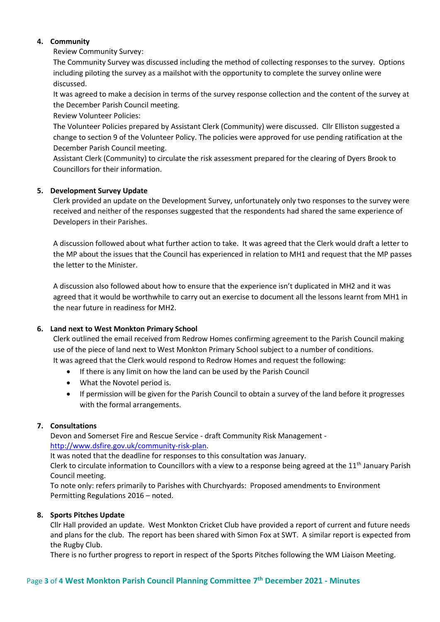# **4. Community**

Review Community Survey:

The Community Survey was discussed including the method of collecting responses to the survey. Options including piloting the survey as a mailshot with the opportunity to complete the survey online were discussed.

It was agreed to make a decision in terms of the survey response collection and the content of the survey at the December Parish Council meeting.

Review Volunteer Policies:

The Volunteer Policies prepared by Assistant Clerk (Community) were discussed. Cllr Elliston suggested a change to section 9 of the Volunteer Policy. The policies were approved for use pending ratification at the December Parish Council meeting.

Assistant Clerk (Community) to circulate the risk assessment prepared for the clearing of Dyers Brook to Councillors for their information.

# **5. Development Survey Update**

Clerk provided an update on the Development Survey, unfortunately only two responses to the survey were received and neither of the responses suggested that the respondents had shared the same experience of Developers in their Parishes.

A discussion followed about what further action to take. It was agreed that the Clerk would draft a letter to the MP about the issues that the Council has experienced in relation to MH1 and request that the MP passes the letter to the Minister.

A discussion also followed about how to ensure that the experience isn't duplicated in MH2 and it was agreed that it would be worthwhile to carry out an exercise to document all the lessons learnt from MH1 in the near future in readiness for MH2.

## **6. Land next to West Monkton Primary School**

Clerk outlined the email received from Redrow Homes confirming agreement to the Parish Council making use of the piece of land next to West Monkton Primary School subject to a number of conditions. It was agreed that the Clerk would respond to Redrow Homes and request the following:

- 
- If there is any limit on how the land can be used by the Parish Council
- What the Novotel period is.
- If permission will be given for the Parish Council to obtain a survey of the land before it progresses with the formal arrangements.

# **7. Consultations**

Devon and Somerset Fire and Rescue Service - draft Community Risk Management [http://www.dsfire.gov.uk/community-risk-plan.](http://www.dsfire.gov.uk/community-risk-plan)

It was noted that the deadline for responses to this consultation was January.

Clerk to circulate information to Councillors with a view to a response being agreed at the 11<sup>th</sup> January Parish Council meeting.

To note only: refers primarily to Parishes with Churchyards: Proposed amendments to Environment Permitting Regulations 2016 – noted.

## **8. Sports Pitches Update**

Cllr Hall provided an update. West Monkton Cricket Club have provided a report of current and future needs and plans for the club. The report has been shared with Simon Fox at SWT. A similar report is expected from the Rugby Club.

There is no further progress to report in respect of the Sports Pitches following the WM Liaison Meeting.